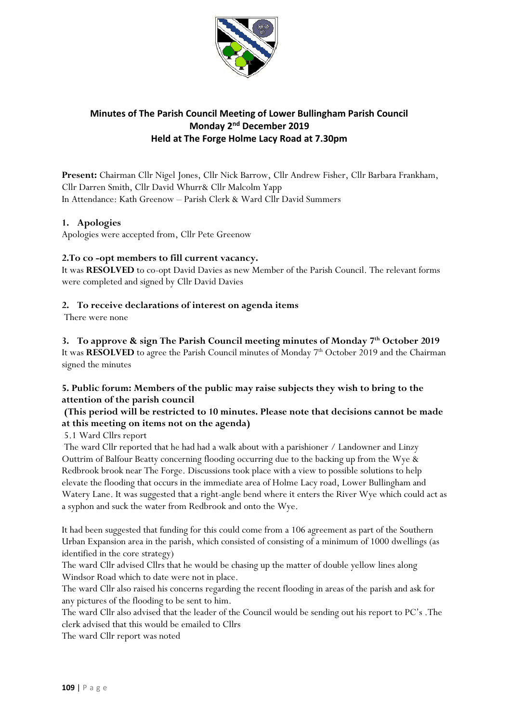

# **Minutes of The Parish Council Meeting of Lower Bullingham Parish Council Monday 2 nd December 2019 Held at The Forge Holme Lacy Road at 7.30pm**

**Present:** Chairman Cllr Nigel Jones, Cllr Nick Barrow, Cllr Andrew Fisher, Cllr Barbara Frankham, Cllr Darren Smith, Cllr David Whurr& Cllr Malcolm Yapp In Attendance: Kath Greenow – Parish Clerk & Ward Cllr David Summers

### **1. Apologies**

Apologies were accepted from, Cllr Pete Greenow

### **2.To co -opt members to fill current vacancy.**

It was **RESOLVED** to co-opt David Davies as new Member of the Parish Council. The relevant forms were completed and signed by Cllr David Davies

## **2. To receive declarations of interest on agenda items**

There were none

**3. To approve & sign The Parish Council meeting minutes of Monday 7th October 2019**  It was **RESOLVED** to agree the Parish Council minutes of Monday 7th October 2019 and the Chairman signed the minutes

## **5. Public forum: Members of the public may raise subjects they wish to bring to the attention of the parish council**

## **(This period will be restricted to 10 minutes. Please note that decisions cannot be made at this meeting on items not on the agenda)**

5.1 Ward Cllrs report

The ward Cllr reported that he had had a walk about with a parishioner / Landowner and Linzy Outtrim of Balfour Beatty concerning flooding occurring due to the backing up from the Wye & Redbrook brook near The Forge. Discussions took place with a view to possible solutions to help elevate the flooding that occurs in the immediate area of Holme Lacy road, Lower Bullingham and Watery Lane. It was suggested that a right-angle bend where it enters the River Wye which could act as a syphon and suck the water from Redbrook and onto the Wye.

It had been suggested that funding for this could come from a 106 agreement as part of the Southern Urban Expansion area in the parish, which consisted of consisting of a minimum of 1000 dwellings (as identified in the core strategy)

The ward Cllr advised Cllrs that he would be chasing up the matter of double yellow lines along Windsor Road which to date were not in place.

The ward Cllr also raised his concerns regarding the recent flooding in areas of the parish and ask for any pictures of the flooding to be sent to him.

The ward Cllr also advised that the leader of the Council would be sending out his report to PC's .The clerk advised that this would be emailed to Cllrs

The ward Cllr report was noted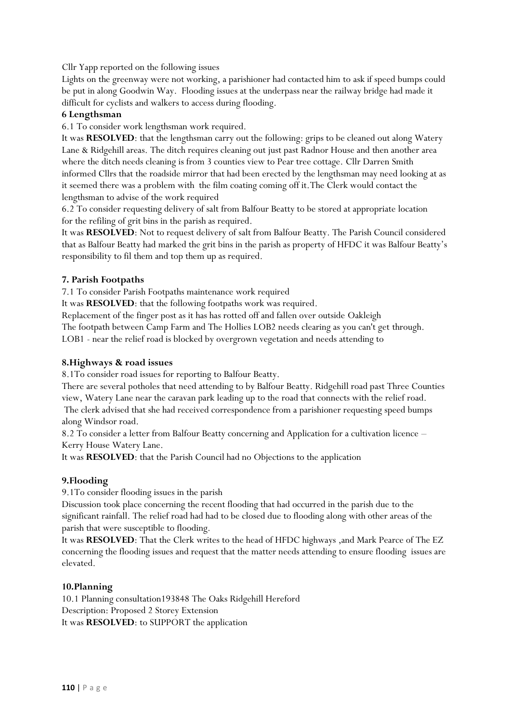Cllr Yapp reported on the following issues

Lights on the greenway were not working, a parishioner had contacted him to ask if speed bumps could be put in along Goodwin Way. Flooding issues at the underpass near the railway bridge had made it difficult for cyclists and walkers to access during flooding.

#### **6 Lengthsman**

6.1 To consider work lengthsman work required.

It was **RESOLVED**: that the lengthsman carry out the following: grips to be cleaned out along Watery Lane & Ridgehill areas. The ditch requires cleaning out just past Radnor House and then another area where the ditch needs cleaning is from 3 counties view to Pear tree cottage. Cllr Darren Smith informed Cllrs that the roadside mirror that had been erected by the lengthsman may need looking at as it seemed there was a problem with the film coating coming off it.The Clerk would contact the lengthsman to advise of the work required

6.2 To consider requesting delivery of salt from Balfour Beatty to be stored at appropriate location for the refiling of grit bins in the parish as required.

It was **RESOLVED**: Not to request delivery of salt from Balfour Beatty. The Parish Council considered that as Balfour Beatty had marked the grit bins in the parish as property of HFDC it was Balfour Beatty's responsibility to fil them and top them up as required.

### **7. Parish Footpaths**

7.1 To consider Parish Footpaths maintenance work required

It was **RESOLVED**: that the following footpaths work was required.

Replacement of the finger post as it has has rotted off and fallen over outside Oakleigh

The footpath between Camp Farm and The Hollies LOB2 needs clearing as you can't get through.

LOB1 - near the relief road is blocked by overgrown vegetation and needs attending to

#### **8.Highways & road issues**

8.1To consider road issues for reporting to Balfour Beatty.

There are several potholes that need attending to by Balfour Beatty. Ridgehill road past Three Counties view, Watery Lane near the caravan park leading up to the road that connects with the relief road.

The clerk advised that she had received correspondence from a parishioner requesting speed bumps along Windsor road.

8.2 To consider a letter from Balfour Beatty concerning and Application for a cultivation licence – Kerry House Watery Lane.

It was **RESOLVED**: that the Parish Council had no Objections to the application

### **9.Flooding**

9.1To consider flooding issues in the parish

Discussion took place concerning the recent flooding that had occurred in the parish due to the significant rainfall. The relief road had had to be closed due to flooding along with other areas of the parish that were susceptible to flooding.

It was **RESOLVED**: That the Clerk writes to the head of HFDC highways ,and Mark Pearce of The EZ concerning the flooding issues and request that the matter needs attending to ensure flooding issues are elevated.

### **10.Planning**

10.1 Planning consultation193848 The Oaks Ridgehill Hereford Description: Proposed 2 Storey Extension It was **RESOLVED**: to SUPPORT the application